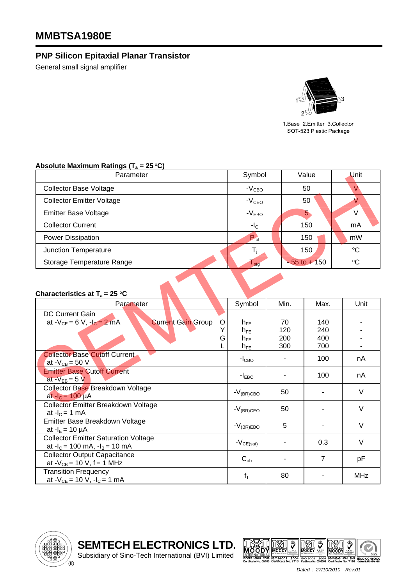## **MMBTSA1980E**

## **PNP Silicon Epitaxial Planar Transistor**

General small signal amplifier



1.Base 2.Emitter 3.Collector SOT-523 Plastic Package

## Absolute Maximum Ratings (T<sub>a</sub> = 25 °C)

| Parameter                        | Symbol           | Value           | Unit        |  |
|----------------------------------|------------------|-----------------|-------------|--|
| <b>Collector Base Voltage</b>    | $-VCBO$          | 50              |             |  |
| <b>Collector Emitter Voltage</b> | $-VCEO$          | 50              |             |  |
| <b>Emitter Base Voltage</b>      | $-VEBO$          | 5               | V           |  |
| <b>Collector Current</b>         | $-IC$            | 150             | mA          |  |
| Power Dissipation                | $P_{\text{tot}}$ | 150             | mW          |  |
| Junction Temperature             |                  | 150             | $^{\circ}C$ |  |
| Storage Temperature Range        | l <sub>stg</sub> | $-55$ to $+150$ | $^{\circ}C$ |  |

## **Characteristics at**  $T_a = 25 \degree C$

| r αι αι ιι <del>σ</del> ισι                                                                              | υγιιινυι                                     |                         | v aiu <del>c</del>       | וווש            |
|----------------------------------------------------------------------------------------------------------|----------------------------------------------|-------------------------|--------------------------|-----------------|
| <b>Collector Base Voltage</b>                                                                            | $-VCBO$                                      |                         | 50                       | V.              |
| <b>Collector Emitter Voltage</b>                                                                         | $-VCEO$                                      |                         | 50                       | $\checkmark$    |
| <b>Emitter Base Voltage</b>                                                                              | $-VEBO$                                      |                         | 5 <sub>o</sub>           | V               |
| <b>Collector Current</b>                                                                                 | $-IC$                                        |                         | 150                      | mA              |
| <b>Power Dissipation</b>                                                                                 | $P_{\text{tot}}$                             |                         | 150                      | mW              |
| Junction Temperature                                                                                     | $T_i$                                        |                         | 150                      | $\rm ^{\circ}C$ |
| Storage Temperature Range                                                                                | $\Gamma_{\text{stg}}$                        |                         | $-55$ to $+150$          | $\rm ^{\circ}C$ |
| Characteristics at $T_a = 25 \text{ }^{\circ}C$                                                          |                                              |                         |                          |                 |
| Parameter                                                                                                | Symbol                                       | Min.                    | Max.                     | Unit            |
| <b>DC Current Gain</b><br>at $-V_{CE} = 6 V$ , $-I_C = 2 mA$<br><b>Current Gain Group</b><br>O<br>Y<br>G | $h_{FE}$<br>$h_{FE}$<br>$h_{FE}$<br>$h_{FE}$ | 70<br>120<br>200<br>300 | 140<br>240<br>400<br>700 |                 |
| <b>Collector Base Cutoff Current</b><br>at $-V_{CB} = 50 V$                                              | $-ICBO$                                      |                         | 100                      | nA              |
| <b>Emitter Base Cutoff Current</b><br>at $-V_{EB} = 5 V$                                                 | $-IEBO$                                      |                         | 100                      | nA              |
| Collector Base Breakdown Voltage<br>at $-I_c = 100 \mu A$                                                | $-V_{(BR)CBO}$                               | 50                      |                          | V               |
| <b>Collector Emitter Breakdown Voltage</b><br>at $-IC = 1$ mA                                            | $-V_{(BR)CEO}$                               | 50                      | ۰                        | V               |
| Emitter Base Breakdown Voltage<br>at $-IE = 10 \mu A$                                                    | $-V_{(BR)EBO}$                               | 5                       |                          | V               |
| <b>Collector Emitter Saturation Voltage</b><br>at $-I_c = 100$ mA, $-I_B = 10$ mA                        | $-V_{CE(sat)}$                               | L,                      | 0.3                      | $\vee$          |
| <b>Collector Output Capacitance</b><br>at $-V_{CB} = 10 V$ , f = 1 MHz                                   | $C_{ob}$                                     |                         | $\overline{7}$           | pF              |
| <b>Transition Frequency</b><br>at $-V_{CE} = 10 V$ , $-I_C = 1 mA$                                       | $f_T$                                        | 80                      |                          | <b>MHz</b>      |